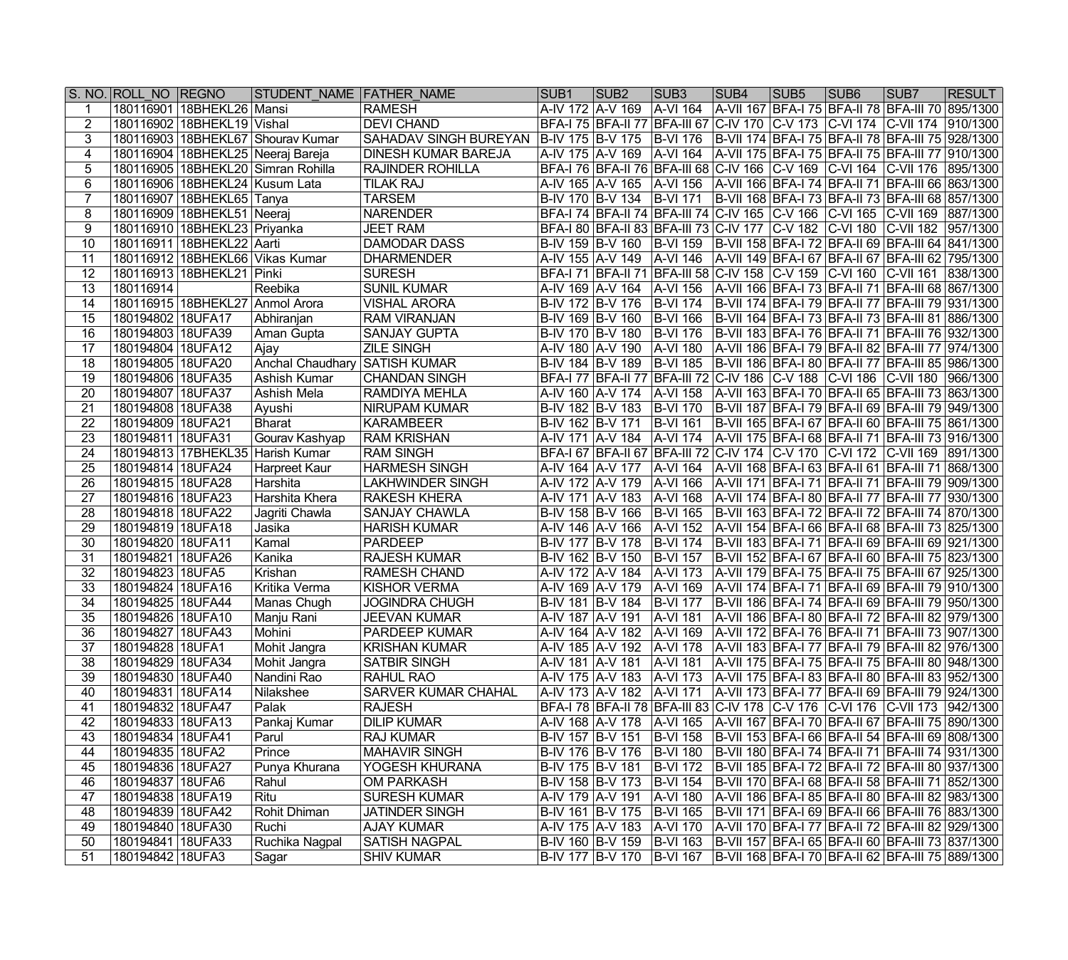|                 | S. NO. ROLL NO REGNO |                                  | STUDENT NAME FATHER NAME               |                            | SUB <sub>1</sub>               | SUB <sub>2</sub> | SUB <sub>3</sub>                                                                         | SUB <sub>4</sub> | SUB <sub>5</sub> | SUB <sub>6</sub> | SUB7                                                     | <b>RESULT</b> |
|-----------------|----------------------|----------------------------------|----------------------------------------|----------------------------|--------------------------------|------------------|------------------------------------------------------------------------------------------|------------------|------------------|------------------|----------------------------------------------------------|---------------|
|                 |                      | 180116901   18BHEKL26   Mansi    |                                        | <b>RAMESH</b>              | A-IV 172   A-V 169             |                  | A-VI 164                                                                                 |                  |                  |                  | A-VII 167   BFA-I 75   BFA-II 78   BFA-III 70   895/1300 |               |
| $\overline{2}$  |                      | 180116902 18BHEKL19 Vishal       |                                        | <b>DEVI CHAND</b>          |                                |                  | BFA-I 75 BFA-II 77 BFA-III 67 C-IV 170 C-V 173 C-VI 174 C-VII 174 910/1300               |                  |                  |                  |                                                          |               |
| 3               |                      |                                  | 180116903   18BHEKL67   Shourav Kumar  | SAHADAV SINGH BUREYAN      | B-IV 175   B-V 175             |                  | <b>B-VI 176</b>                                                                          |                  |                  |                  | B-VII 174   BFA-I 75   BFA-II 78   BFA-III 75   928/1300 |               |
| 4               |                      |                                  | 180116904 18BHEKL25 Neeraj Bareja      | <b>DINESH KUMAR BAREJA</b> | A-IV 175   A-V 169             |                  | A-VI 164   A-VII 175   BFA-I 75   BFA-II 75   BFA-III 77   910/1300                      |                  |                  |                  |                                                          |               |
| 5               |                      |                                  | 180116905   18BHEKL20   Simran Rohilla | <b>RAJINDER ROHILLA</b>    |                                |                  | BFA-I 76 BFA-II 76 BFA-III 68 C-IV 166 C-V 169 C-VI 164 C-VII 176 895/1300               |                  |                  |                  |                                                          |               |
| 6               |                      | 180116906 18BHEKL24 Kusum Lata   |                                        | <b>TILAK RAJ</b>           |                                |                  | A-IV 165 A-V 165 A-VI 156 A-VII 166 BFA-I 74 BFA-II 71 BFA-III 66 863/1300               |                  |                  |                  |                                                          |               |
|                 |                      | 180116907   18BHEKL65   Tanya    |                                        | <b>TARSEM</b>              |                                |                  | B-IV 170 B-V 134 B-VI 171 B-VII 168 BFA-I 73 BFA-II 73 BFA-III 68 857/1300               |                  |                  |                  |                                                          |               |
| 8               |                      | 180116909   18BHEKL51   Neeraj   |                                        | <b>NARENDER</b>            |                                |                  | BFA-I 74 BFA-II 74 BFA-III 74 C-IV 165 C-V 166 C-VI 165 C-VII 169 887/1300               |                  |                  |                  |                                                          |               |
| 9               |                      | 180116910   18BHEKL23   Priyanka |                                        | <b>JEET RAM</b>            |                                |                  | BFA-I 80   BFA-II 83   BFA-III 73   C-IV 177   C-V 182   C-VI 180   C-VII 182   957/1300 |                  |                  |                  |                                                          |               |
| $\overline{10}$ |                      | 180116911   18BHEKL22   Aarti    |                                        | DAMODAR DASS               |                                |                  | B-IV 159 B-V 160 B-VI 159 B-VII 158 BFA-I 72 BFA-II 69 BFA-III 64 841/1300               |                  |                  |                  |                                                          |               |
| 11              |                      |                                  | 180116912 18BHEKL66 Vikas Kumar        | <b>DHARMENDER</b>          | A-IV 155   A-V 149             |                  | A-VI 146   A-VII 149   BFA-I 67   BFA-II 67   BFA-III 62   795/1300                      |                  |                  |                  |                                                          |               |
| 12              |                      | 180116913 18BHEKL21 Pinki        |                                        | <b>SURESH</b>              |                                |                  | BFA-I 71 BFA-II 71 BFA-III 58 C-IV 158 C-V 159 C-VI 160 C-VII 161 838/1300               |                  |                  |                  |                                                          |               |
| 13              | 180116914            |                                  | Reebika                                | <b>SUNIL KUMAR</b>         | A-IV 169 A-V 164               |                  | A-VI 156                                                                                 |                  |                  |                  | A-VII 166 BFA-I 73 BFA-II 71 BFA-III 68 867/1300         |               |
| 14              |                      |                                  | 180116915 18BHEKL27 Anmol Arora        | <b>VISHAL ARORA</b>        | B-IV 172   B-V 176             |                  | <b>B-VI 174</b>                                                                          |                  |                  |                  | B-VII 174   BFA-I 79   BFA-II 77   BFA-III 79   931/1300 |               |
| 15              | 180194802 18UFA17    |                                  | Abhiranjan                             | <b>RAM VIRANJAN</b>        | B-IV 169 B-V 160               |                  | <b>B-VI 166</b>                                                                          |                  |                  |                  | B-VII 164   BFA-I 73   BFA-II 73   BFA-III 81   886/1300 |               |
| 16              | 180194803 18UFA39    |                                  | Aman Gupta                             | <b>SANJAY GUPTA</b>        | B-IV 170 B-V 180               |                  | <b>B-VI 176</b>                                                                          |                  |                  |                  | B-VII 183 BFA-I 76 BFA-II 71 BFA-III 76 932/1300         |               |
| 17              | 180194804 18UFA12    |                                  | ∣Ajay                                  | <b>ZILE SINGH</b>          | A-IV 180 A-V 190               |                  | A-VI 180                                                                                 |                  |                  |                  | A-VII 186 BFA-I 79 BFA-II 82 BFA-III 77 974/1300         |               |
| 18              | 180194805 18UFA20    |                                  | <b>Anchal Chaudhary SATISH KUMAR</b>   |                            | $\overline{B}$ -IV 184 B-V 189 |                  | B-VI 185 B-VII 186 BFA-I 80 BFA-II 77 BFA-III 85 986/1300                                |                  |                  |                  |                                                          |               |
| 19              | 180194806 18UFA35    |                                  | Ashish Kumar                           | <b>CHANDAN SINGH</b>       |                                |                  | BFA-I 77 BFA-II 77 BFA-III 72 C-IV 186 C-V 188 C-VI 186 C-VII 180 966/1300               |                  |                  |                  |                                                          |               |
| 20              | 180194807 18UFA37    |                                  | <b>Ashish Mela</b>                     | <b>RAMDIYA MEHLA</b>       | A-IV 160 A-V 174               |                  | A-VI 158                                                                                 |                  |                  |                  | A-VII 163 BFA-I 70 BFA-II 65 BFA-III 73 863/1300         |               |
| 21              | 180194808 18UFA38    |                                  | Ayushi                                 | NIRUPAM KUMAR              | B-IV 182 B-V 183               |                  | B-VI 170                                                                                 |                  |                  |                  | B-VII 187   BFA-I 79   BFA-II 69   BFA-III 79   949/1300 |               |
| 22              | 180194809 18UFA21    |                                  | <b>Bharat</b>                          | <b>KARAMBEER</b>           | B-IV 162 B-V 171               |                  | <b>B-VI 161</b>                                                                          |                  |                  |                  | B-VII 165 BFA-I 67 BFA-II 60 BFA-III 75 861/1300         |               |
| 23              | 180194811 18UFA31    |                                  | Gourav Kashyap                         | <b>RAM KRISHAN</b>         | A-IV 171   A-V 184             |                  | A-VI 174                                                                                 |                  |                  |                  | A-VII 175   BFA-I 68   BFA-II 71   BFA-III 73   916/1300 |               |
| 24              |                      |                                  | 180194813 17BHEKL35 Harish Kumar       | <b>RAM SINGH</b>           |                                |                  | BFA-I 67 BFA-II 67 BFA-III 72 C-IV 174 C-V 170 C-VI 172 C-VII 169 891/1300               |                  |                  |                  |                                                          |               |
| 25              | 180194814   18UFA24  |                                  | Harpreet Kaur                          | <b>HARMESH SINGH</b>       | A-IV 164   A-V 177             |                  | A-VI 164                                                                                 |                  |                  |                  | A-VII 168   BFA-I 63   BFA-II 61   BFA-III 71   868/1300 |               |
| $\overline{26}$ | 180194815   18UFA28  |                                  | Harshita                               | <b>LAKHWINDER SINGH</b>    | A-IV 172   A-V 179             |                  | A-VI 166                                                                                 |                  |                  |                  | A-VII 171   BFA-I 71   BFA-II 71   BFA-III 79   909/1300 |               |
| $\overline{27}$ | 180194816   18UFA23  |                                  | Harshita Khera                         | <b>RAKESH KHERA</b>        | A-IV 171   A-V 183             |                  | A-VI 168                                                                                 |                  |                  |                  | A-VII 174   BFA-I 80   BFA-II 77   BFA-III 77   930/1300 |               |
| $\overline{28}$ | 180194818 18UFA22    |                                  | Jagriti Chawla                         | <b>SANJAY CHAWLA</b>       | B-IV 158 B-V 166               |                  | B-VI 165                                                                                 |                  |                  |                  | B-VII 163   BFA-I 72   BFA-II 72   BFA-III 74   870/1300 |               |
| 29              | 180194819 18UFA18    |                                  | Jasika                                 | <b>HARISH KUMAR</b>        | A-IV 146   A-V 166             |                  | A-VI 152                                                                                 |                  |                  |                  | A-VII 154   BFA-I 66   BFA-II 68   BFA-III 73   825/1300 |               |
| 30              | 180194820 18UFA11    |                                  | Kamal                                  | <b>PARDEEP</b>             | B-IV 177 B-V 178               |                  | B-VI 174                                                                                 |                  |                  |                  | B-VII 183   BFA-I 71   BFA-II 69   BFA-III 69   921/1300 |               |
| 31              | 180194821   18UFA26  |                                  | Kanika                                 | <b>RAJESH KUMAR</b>        | B-IV 162   B-V 150             |                  | B-VI 157                                                                                 |                  |                  |                  | B-VII 152   BFA-I 67   BFA-II 60   BFA-III 75   823/1300 |               |
| 32              | 180194823 18UFA5     |                                  | Krishan                                | RAMESH CHAND               | A-IV 172 A-V 184               |                  | A-VI 173                                                                                 |                  |                  |                  | A-VII 179 BFA-I 75 BFA-II 75 BFA-III 67 925/1300         |               |
| 33              | 180194824   18UFA16  |                                  | Kritika Verma                          | KISHOR VERMA               | A-IV 169 A-V 179               |                  | A-VI 169                                                                                 |                  |                  |                  | A-VII 174 BFA-I 71 BFA-II 69 BFA-III 79 910/1300         |               |
| 34              | 180194825 18UFA44    |                                  | Manas Chugh                            | <b>JOGINDRA CHUGH</b>      | B-IV 181   B-V 184             |                  | <b>B-VI 177</b>                                                                          |                  |                  |                  | B-VII 186 BFA-I 74 BFA-II 69 BFA-III 79 950/1300         |               |
| 35              | 180194826 18UFA10    |                                  | Manju Rani                             | <b>JEEVAN KUMAR</b>        | A-IV 187 A-V 191               |                  | A-VI 181                                                                                 |                  |                  |                  | A-VII 186 BFA-I 80 BFA-II 72 BFA-III 82 979/1300         |               |
| $\overline{36}$ | 180194827 18UFA43    |                                  | Mohini                                 | <b>PARDEEP KUMAR</b>       |                                |                  | A-IV 164 A-V 182 A-VI 169 A-VII 172 BFA-I 76 BFA-II 71 BFA-III 73 907/1300               |                  |                  |                  |                                                          |               |
| 37              | 180194828 18UFA1     |                                  | Mohit Jangra                           | <b>KRISHAN KUMAR</b>       | A-IV 185   A-V 192             |                  | A-VI 178 A-VII 183 BFA-I 77 BFA-II 79 BFA-III 82 976/1300                                |                  |                  |                  |                                                          |               |
| 38              | 180194829   18UFA34  |                                  | Mohit Jangra                           | <b>SATBIR SINGH</b>        | A-IV 181   A-V 181             |                  | A-VI 181                                                                                 |                  |                  |                  | A-VII 175   BFA-I 75   BFA-II 75   BFA-III 80   948/1300 |               |
| 39              | 180194830 18UFA40    |                                  | Nandini Rao                            | RAHUL RAO                  | A-IV 175   A-V 183             |                  | A-VI 173                                                                                 |                  |                  |                  | A-VII 175   BFA-I 83   BFA-II 80   BFA-III 83   952/1300 |               |
| 40              | 180194831 18UFA14    |                                  | Nilakshee                              | <b>SARVER KUMAR CHAHAL</b> | A-IV 173   A-V 182             |                  | A-VI 171                                                                                 |                  |                  |                  | A-VII 173 BFA-I 77 BFA-II 69 BFA-III 79 924/1300         |               |
| 41              | 180194832 18UFA47    |                                  | Palak                                  | <b>RAJESH</b>              |                                |                  | BFA-I 78 BFA-II 78 BFA-III 83 C-IV 178 C-V 176 C-VI 176 C-VII 173 942/1300               |                  |                  |                  |                                                          |               |
| 42              | 180194833 18UFA13    |                                  | Pankaj Kumar                           | <b>DILIP KUMAR</b>         | A-IV 168 A-V 178               |                  | A-VI 165  A-VII 167   BFA-I 70   BFA-II 67   BFA-III 75   890/1300                       |                  |                  |                  |                                                          |               |
| 43              | 180194834 18UFA41    |                                  | Parul                                  | <b>RAJ KUMAR</b>           | B-IV 157 B-V 151               |                  | <b>B-VI 158</b>                                                                          |                  |                  |                  | B-VII 153 BFA-I 66 BFA-II 54 BFA-III 69 808/1300         |               |
| 44              | 180194835   18UFA2   |                                  | Prince                                 | <b>MAHAVIR SINGH</b>       | B-IV 176 B-V 176               |                  | B-VI 180                                                                                 |                  |                  |                  | B-VII 180   BFA-I 74   BFA-II 71   BFA-III 74   931/1300 |               |
| 45              | 180194836 18UFA27    |                                  | Punya Khurana                          | YOGESH KHURANA             | B-IV 175 B-V 181               |                  | B-VI 172                                                                                 |                  |                  |                  | B-VII 185   BFA-I 72   BFA-II 72   BFA-III 80   937/1300 |               |
| 46              | 180194837   18UFA6   |                                  | Rahul                                  | <b>OM PARKASH</b>          | B-IV 158 B-V 173               |                  | B-VI 154                                                                                 |                  |                  |                  | B-VII 170 BFA-I 68 BFA-II 58 BFA-III 71 852/1300         |               |
| 47              | 180194838 18UFA19    |                                  | Ritu                                   | <b>SURESH KUMAR</b>        | A-IV 179 A-V 191               |                  | A-VI 180                                                                                 |                  |                  |                  | A-VII 186 BFA-I 85 BFA-II 80 BFA-III 82 983/1300         |               |
| 48              | 180194839   18UFA42  |                                  | <b>Rohit Dhiman</b>                    | <b>JATINDER SINGH</b>      | B-IV 161   B-V 175             |                  | B-VI 165                                                                                 |                  |                  |                  | B-VII 171 BFA-I 69 BFA-II 66 BFA-III 76 883/1300         |               |
| 49              | 180194840   18UFA30  |                                  | Ruchi                                  | <b>AJAY KUMAR</b>          | A-IV 175 A-V 183               |                  | A-VI 170                                                                                 |                  |                  |                  | A-VII 170 BFA-I 77 BFA-II 72 BFA-III 82 929/1300         |               |
| 50              | 180194841 18UFA33    |                                  | Ruchika Nagpal                         | <b>SATISH NAGPAL</b>       | B-IV 160 B-V 159               |                  | <b>B-VI 163</b>                                                                          |                  |                  |                  | B-VII 157 BFA-I 65 BFA-II 60 BFA-III 73 837/1300         |               |
| 51              | 180194842 18UFA3     |                                  | Sagar                                  | <b>SHIV KUMAR</b>          | B-IV 177 B-V 170               |                  | B-VI 167   B-VII 168   BFA-I 70   BFA-II 62   BFA-III 75   889/1300                      |                  |                  |                  |                                                          |               |
|                 |                      |                                  |                                        |                            |                                |                  |                                                                                          |                  |                  |                  |                                                          |               |